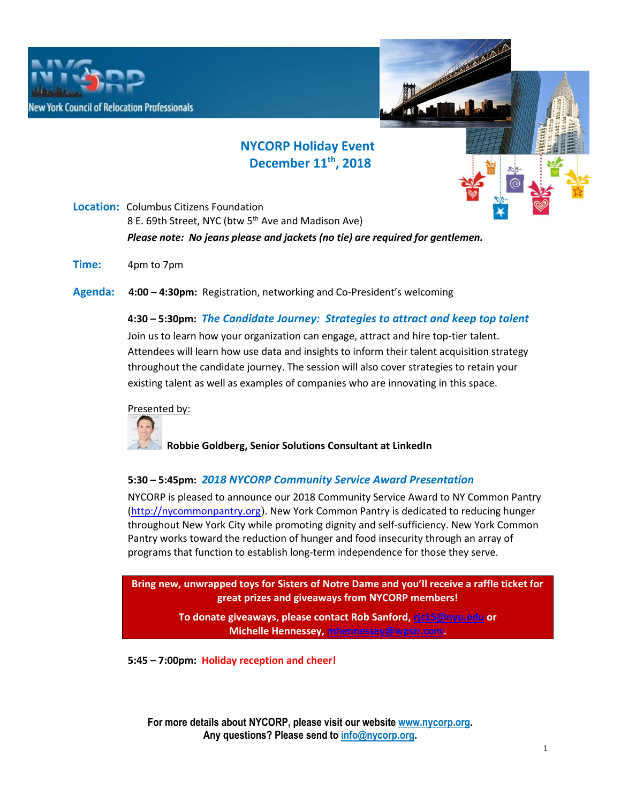



# **NYCORP Holiday Event December 11th, 2018**

**Location:** Columbus Citizens Foundation 8 E. 69th Street, NYC (btw 5<sup>th</sup> Ave and Madison Ave) *Please note: No jeans please and jackets (no tie) are required for gentlemen.*

**Time:** 4pm to 7pm

**Agenda: 4:00 – 4:30pm:** Registration, networking and Co-President's welcoming

## **4:30 – 5:30pm:** *The Candidate Journey: Strategies to attract and keep top talent*

Join us to learn how your organization can engage, attract and hire top-tier talent. Attendees will learn how use data and insights to inform their talent acquisition strategy throughout the candidate journey. The session will also cover strategies to retain your existing talent as well as examples of companies who are innovating in this space.

#### Presented by:



 **Robbie Goldberg, Senior Solutions Consultant at LinkedIn**

## **5:30 – 5:45pm:** *2018 NYCORP Community Service Award Presentation*

NYCORP is pleased to announce our 2018 Community Service Award to NY Common Pantry (http://nycommonpantry.org). New York Common Pantry is dedicated to reducing hunger throughout New York City while promoting dignity and self-sufficiency. New York Common Pantry works toward the reduction of hunger and food insecurity through an array of programs that function to establish long-term independence for those they serve.

**Bring new, unwrapped toys for Sisters of Notre Dame and you'll receive a raffle ticket for great prizes and giveaways from NYCORP members!** 

> **To donate giveaways, please contact Rob Sanford, rjs15@nyu.edu or Michelle Hennessey, mhennessey@wpsir.com.**

**5:45 – 7:00pm: Holiday reception and cheer!**

**For more details about NYCORP, please visit our website www.nycorp.org. Any questions? Please send to info@nycorp.org.**